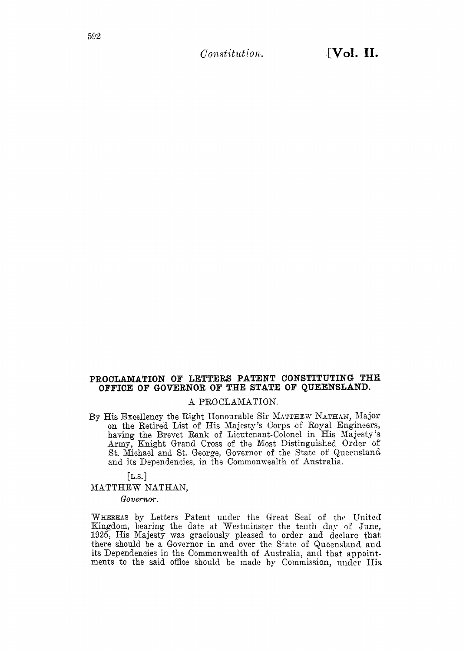*Constitution.* 

## PROCLAMATION OF LETTERS PATENT CONSTITUTING THE OFFICE OF GOVERNOR OF THE STATE OF QUEENSLAND.

## A PROCLAMATION.

By His Excellency the Right Honourable Sir MATTHEW NATHAN, Major on the Retired List of His Majesty's Corps of Royal Engineers, having the Brevet Rank of Lieutenant-Colonel in His Majesty's Army, Knight Grand Cross of the Most Distinguished Order of St. Michael and St. George, Governor of the State of Queensland and its Dependencies, in the Commonwealth of Australia.

 $[L.S.]$ 

MATTHEW NATHAN,

Governor.

WHEREAS by Letters Patent under the Great Seal of the United Kingdom, bearing the date at Westminster the tenth day of June, 1925, His Majesty was graciously pleased to order and declare that there should be a Governor in and over the State of Queensland and its Dependencies in the Commonwealth of Australia, and that appointments to the said office should be made by Commission, under His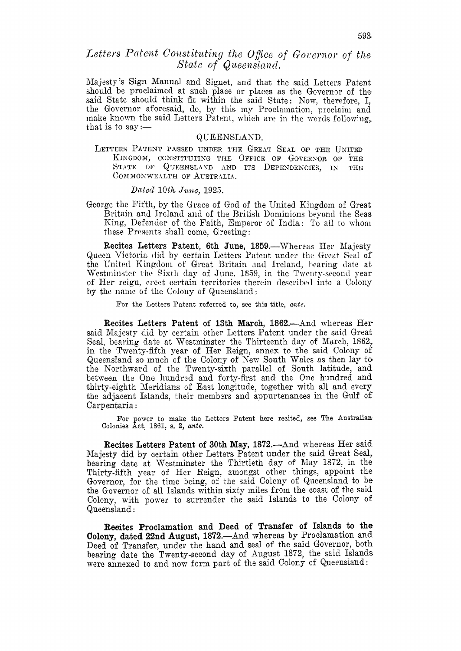## Letters Patent Constituting the Office of Governor of the State of Queensland.

Majesty's Sign Manual and Signet, and that the said Letters Patent should be proclaimed at such place or places as the Governor of the said State should think fit within the said State: Now, therefore, I, the Governor aforesaid, do, by this my Proclamation, proclaim and make known the said Letters Patent, which are in the words following, that is to say :—

#### QUEENSLAND.

LETTERS PATENT PASSED UNDER THE GREAT SEAL OF THE UNITED KINGDOM, CONSTITUTING THE OFFICE OF GOVERNOR OF THE STATE OF QUEENSLAND AND ITS DEPENDENCIES, IN THE COMMONWEALTH OF AUSTRALIA.

#### Dated 10th June,  $1925$ .

George the Fifth, by the Grace of God of the United Kingdom of Great Britain and Ireland and of the British Dominions beyond the Seas King, Defender of the Faith, Emperor of India: To all to whom these Presents shall come, Greeting:

Recites Letters Patent, 6th June, 1859.—Whereas Her Majesty Queen Victoria did by certain Letters Patent under the Great Seal of the United Kingdom of Great Britain and Ireland, bearing date at Westminster the Sixth day of June, 1859, in the Twenty-second year of Her reign, erect certain territories therein described into a Colony by the name of the Colony of Queensland:

For the Letters Patent referred to, see this title, ante.

Recites Letters Patent of 13th March, 1862.—And whereas Her said Majesty did by certain other Letters Patent under the said Great Seal, bearing date at Westminster the Thirteenth day of March, 1862, in the Twenty-fifth year of Her Reign, annex to the said Colony of Queensland so much of the Colony of New South Wales as then lay to the Northward of the Twenty-sixth parallel of South latitude, and between the One hundred and forty-first and the One hundred and thirty-eighth Meridians of East longitude, together with all and every the adjacent Islands, their members and appurtenances in the Gulf of Carpentaria:

For power to make the Letters Patent here recited, see The Australian Colonies Act, 1861, s. 2, ante.

**Recites Letters Patent of 30th May, 1872.—And whereas Her said** Majesty did by certain other Letters Patent under the said Great Seal, bearing date at Westminster the Thirtieth day of May 1872, in the Thirty-fifth year of Her Reign, amongst other things, appoint the Governor, for the time being, of the said Colony of Queensland to be the Governor of all Islands within sixty miles from the coast of the said Colony, with power to surrender the said Islands to the Colony of Queensland:

Recites Proclamation and Deed of Transfer of Islands to the Colony, dated 22nd August, 1872. And whereas by Proclamation and Deed of Transfer, under the hand and seal of the said Governor, both bearing date the Twenty-second day of August 1872, the said Islands were annexed to and now form part of the said Colony of Queensland: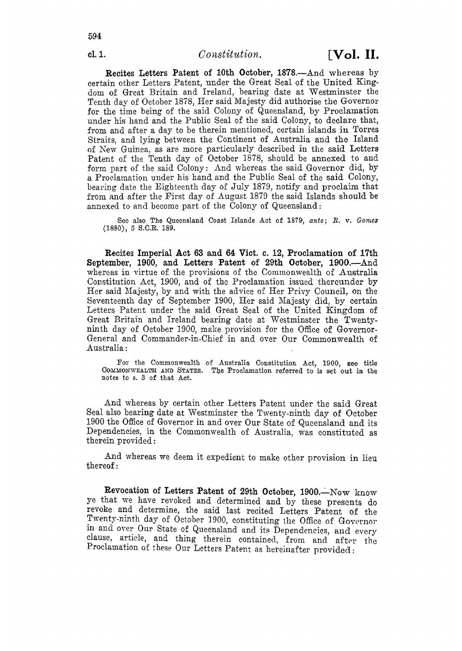Recites Letters Patent of 10th October, 1878.-And whereas by certain other Letters Patent, under the Great Seal of the United Kingdom of Great Britain and Ireland, bearing date at Westminster the Tenth day of October 1878, Her said Majesty did authorise the Governor for the time being of the said Colony of Queensland, by Proclamation under his hand and the Public Seal of the said Colony, to declare that, from and after a day to be therein mentioned, certain islands in Torres Straits, and lying between the Continent of Australia and the Island oi Xew Guinea, as are: more particularly described in the said Letters Patent of the Tenth day of October 1878, should be annexed to and form part of the said Colony: And whereas the said Governor did, by a Prodamation under his hand and the Public Seal of the said Colony, bearing date the Eighteenth day oE July 1879, notify and proclaim that from and after the First day of August 1879 the said Islands should be annexed to and become part of the Colony of Queensland:

Sco also The Queensland Coast Islands Act of 1879, ante; *R. v. Gomes* **(1880),** 5 S.C.R. 189.

Recites Imperial Act **63** and **64** Vict. **c.** 12, Proclamation of 17th September, 1900, and Letters Patent of 29th October, 1900.—And whereas in virtue of the provisions of the Commonwealth of Australia Constitution Act, 1900, and of the Proclamation issued thereunder by Her said Majesty, by and with the advice of Her Privy Council, on the Seventeenth day of September 1900, Her said Majesty did, by certain Letters Patent under the said Great Seal of the United Kingdom of Great Britain and Ireland bearing date at Westminster the Twentyninth day of October 1900, make provision for the Office of Governor-General and Commander-in-Chief in and Over Our Commonwealth of Australia :

For the Commonwealth of Australia Constitution Act, 1900, **see** title **COXMONWEALTE AND** STATES. The Proclamation referred to **is** *set* **out** in the notes to s. **3** of that Act.

And whereas by certain other Letters Patent under the said Great Seal also bearing date at Westminster the Twenty-ninth day of October 1900 the Office of Governor in and over Our State of Queensland and its Dependencies, in the Commonwealth of Australia, was constituted as therein provided :

And whereas we deem it expedient to make other provision in lieu thereof:

Revocation of Letters Patent of 29th October, 1900.-Now know ye that we have revoked and determined and by these presents do revoke and determine, the said last recited Letters Patent of the Twenty-ninth day of October 1900, constituting the Office of Governor in and over Our State of Queensland and its Dependencies, and every clause, article, and thing therein contained, from and after the Proclamation of these Our Letters Patent as hereinafter provided :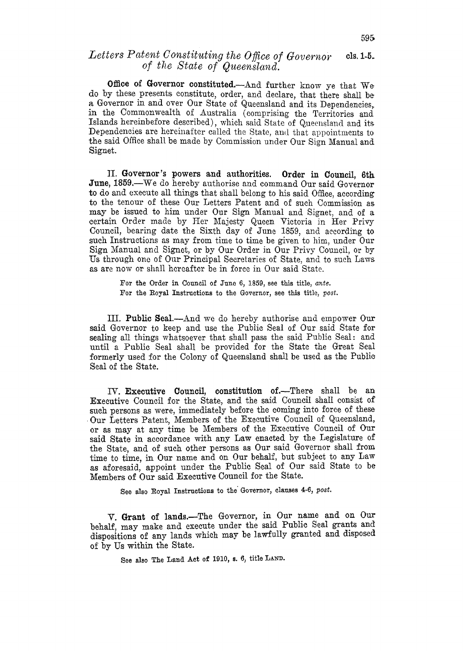#### **ck 1-5.**  Letters Patent Constituting the Office of Governor of the State of Queensland.

Office of Governor constituted.--And further know ye that We do by these presents constitute, order, and declare, that there shall be a, Governor in and over Our State of Queensland and its Dependencies, in the Commonwealth of Australia (comprising the Territories and Islands hereinbefore described), which said State of Queensland and its Dependencies are hereinafter called the State, and that appointments to the said Office shall be made by Commission under Our Sign Manual and Signet.

11. Governor's powers and authorities. Order in Council, **6th**  June, 1859.--We do hereby authorise and command Our said Governor to do and execute all things that shall belong to his said Office, according to the tenour of these Our Letters Patent and of such Commission as may be issued to him under Our Sign Manual and Signet, and of a certain Order made by Her Majesty Queen Victoria in Her Privy Council, bearing date the Sixth day of June 1859, and according to such Instructions as may from time to time be given to him, under Our **Sign** Manual and Signet, or by Our Order in Our Privy Council, or by Us through one of Our Principal Secretaries of State, and to such Laws as are now or shall hereafter be in force in Our said State.

> For the Order in Council of **Juno** 6, 1859, see this title, *ante.*  For the Royal Instructions to the Governor, see this title, *post.*

111. **Public Seal.**—And we do hereby authorise and empower Our said Governor to keep and use the Public Seal of Our said State for sealing all things whatsoever that shall pass the said Public Seal: and until a Public Seal shall be provided for the State the Great Seal formerly used for the Colony of Queensland shall be used as the Public: Seal of the State.

*N.* Executive **Council,** constitution of.-There shall be an Executive Council for the State, and the said Council shall consist of such persons as were, immediately before the coming into force of these Our Letters Patent, Members of the Executive Council of Queensland, or as may at any time be Members **of** the Executive Council of Our said State in accordance with any Law enacted by the Legislature of the State, and of such other persons as Our said Governor shall from time to time, in Our name and on Our behalf, but subject to any Law as aforesaid, appoint under the Public Seal of Our said State to be Members of Our said Executive Council for the State.

See also Boyal Instructions to the' Governor, clauses **4-6,** *post.* 

V. Grant **of** lands.-The Governor, in **Our** name and on Our behalf, may make and execute under the said Public Seal grants and dispositions of any lands which may be lawfully granted and disposed of by Us within the State.

See also The Land **Act** of 1910, **S. 0,** title **LAND.**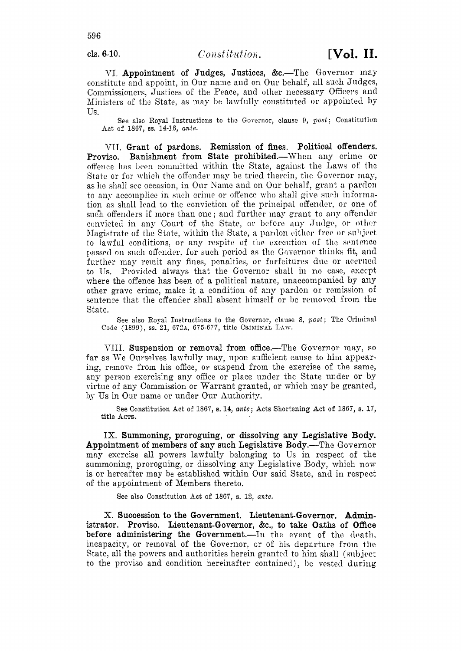cls. 6-10.

VI. Appointment of Judges, Justices, &c.-The Governor may constitute and appoint, in Our name and on Our behalf, all such Judges, Commissioners, Justices of the Peace, and other necessary Officers and Ministers of the State, as may be lawfully constituted or appointed by Us.

See also Royal Instructions to the Governor, clause 9, post; Constitution Act of 1867, ss. 14-16, ante.

VII. Grant of pardons. Remission of fines. Political offenders. Banishment from State prohibited.—When any crime or Proviso. offence has been committed within the State, against the Laws of the State or for which the offender may be tried therein, the Governor may, as he shall see occasion, in Our Name and on Our behalf, grant a pardon to any accomplice in such crime or offence who shall give such information as shall lead to the conviction of the principal offender, or one of such offenders if more than one; and further may grant to any offender convicted in any Court of the State, or before any Judge, or other Magistrate of the State, within the State, a pardon either free or subject to lawful conditions, or any respite of the execution of the sentence passed on such offender, for such period as the Governor thinks fit, and further may remit any fines, penalties, or forfeitures due or accrued to Us. Provided always that the Governor shall in no case, except where the offence has been of a political nature, unaccompanied by any other grave crime, make it a condition of any pardon or remission of sentence that the offender shall absent himself or be removed from the State.

See also Royal Instructions to the Governor, clause 8, post; The Criminal Code (1899), ss. 21, 672A, 675-677, title CRIMINAL LAW.

VIII. Suspension or removal from office.—The Governor may, so far as We Ourselves lawfully may, upon sufficient cause to him appearing, remove from his office, or suspend from the exercise of the same, any person exercising any office or place under the State under or by virtue of any Commission or Warrant granted, or which may be granted, by Us in Our name or under Our Authority.

See Constitution Act of 1867, s. 14, ante; Acts Shortening Act of 1867, s. 17, title Acrs.

IX. Summoning, proroguing, or dissolving any Legislative Body. **Appointment of members of any such Legislative Body.—The Governor** may exercise all powers lawfully belonging to Us in respect of the summoning, proroguing, or dissolving any Legislative Body, which now is or hereafter may be established within Our said State, and in respect of the appointment of Members thereto.

See also Constitution Act of 1867, s. 12, ante.

X. Succession to the Government. Lieutenant-Governor. Administrator. Proviso. Lieutenant-Governor, &c., to take Oaths of Office before administering the Government.-In the event of the death, incapacity, or removal of the Governor, or of his departure from the State, all the powers and authorities herein granted to him shall (subject to the proviso and condition hereinafter contained), be vested during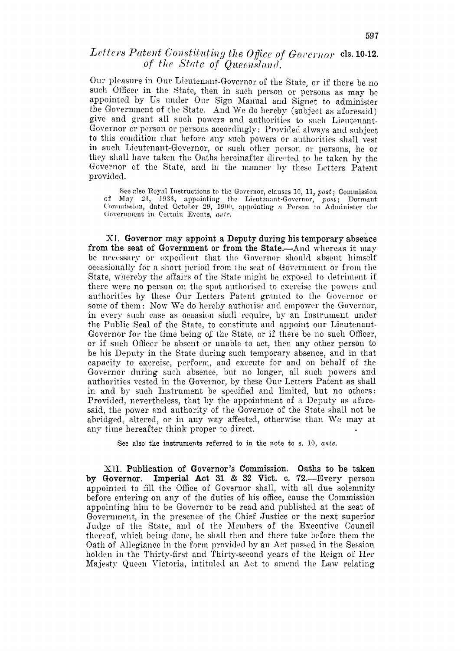# Letters Patent Constituting the Office of Governor cls. 10-12. of the State of Queensland.

Our pleasure in Our Lieutenant-Governor of the State, or if there be no such Officer in the State, then in such person or persons as may be appointed by Us under Our Sign Manual and Signet to administer the Government of the State. And We do hereby (subject as aforesaid) give and grant all such powers and authorities to such Lieutenant-Governor or person or persons accordingly: Provided always and subject to this condition that before any such powers or authorities shall vest in such Lieutenant-Governor, or such other person or persons, he or they shall have taken the Oaths hereinafter directed to be taken by the Governor of the State, and in the manner by these Letters Patent provided.

See also Royal Instructions to the Governor, clauses 10, 11, post; Commission of May 23, 1933, appointing the Lieutenant-Governor, post; Dormant Commission, dated October 29, 1900, appointing a Person to Administer the Government in Certain Events, ante.

XI. Governor may appoint a Deputy during his temporary absence from the seat of Government or from the State.—And whereas it may be necessary or expedient that the Governor should absent himself occasionally for a short period from the seat of Government or from the State, whereby the affairs of the State might be exposed to detriment if there were no person on the spot authorised to exercise the powers and authorities by these Our Letters Patent granted to the Governor or some of them: Now We do hereby authorise and empower the Governor, in every such case as occasion shall require, by an Instrument under the Public Seal of the State, to constitute and appoint our Lieutenant-Governor for the time being of the State, or if there be no such Officer, or if such Officer be absent or unable to act, then any other person to be his Deputy in the State during such temporary absence, and in that capacity to exercise, perform, and execute for and on behalf of the Governor during such absence, but no longer, all such powers and authorities vested in the Governor, by these Our Letters Patent as shall in and by such Instrument be specified and limited, but no others: Provided, nevertheless, that by the appointment of a Deputy as aforesaid, the power and authority of the Governor of the State shall not be abridged, altered, or in any way affected, otherwise than We may at any time hereafter think proper to direct.

See also the instruments referred to in the note to s. 10, ante.

XII. Publication of Governor's Commission. Oaths to be taken Imperial Act 31 & 32 Vict. c. 72.—Every person by Governor. appointed to fill the Office of Governor shall, with all due solemnity before entering on any of the duties of his office, cause the Commission appointing him to be Governor to be read and published at the seat of Government, in the presence of the Chief Justice or the next superior Judge of the State, and of the Members of the Executive Council thereof, which being done, he shall then and there take before them the Oath of Allegiance in the form provided by an Act passed in the Session holden in the Thirty-first and Thirty-second years of the Reign of Her Majesty Queen Victoria, intituled an Act to amend the Law relating